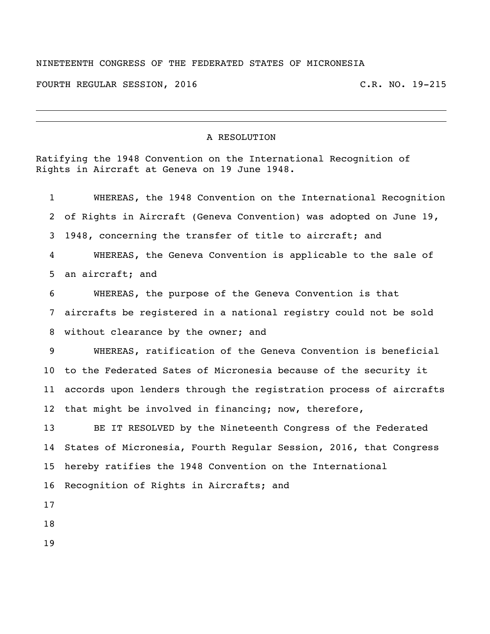## NINETEENTH CONGRESS OF THE FEDERATED STATES OF MICRONESIA

FOURTH REGULAR SESSION, 2016 C.R. NO. 19-215

## A RESOLUTION

Ratifying the 1948 Convention on the International Recognition of Rights in Aircraft at Geneva on 19 June 1948.

| $\mathbf{1}$    | WHEREAS, the 1948 Convention on the International Recognition      |
|-----------------|--------------------------------------------------------------------|
| $\overline{2}$  | of Rights in Aircraft (Geneva Convention) was adopted on June 19,  |
| 3               | 1948, concerning the transfer of title to aircraft; and            |
| 4               | WHEREAS, the Geneva Convention is applicable to the sale of        |
| 5               | an aircraft; and                                                   |
| 6               | WHEREAS, the purpose of the Geneva Convention is that              |
| 7               | aircrafts be registered in a national registry could not be sold   |
| 8               | without clearance by the owner; and                                |
| 9               | WHEREAS, ratification of the Geneva Convention is beneficial       |
| 10 <sub>1</sub> | to the Federated Sates of Micronesia because of the security it    |
| 11              | accords upon lenders through the registration process of aircrafts |
| 12 <sup>2</sup> | that might be involved in financing; now, therefore,               |
| 13              | BE IT RESOLVED by the Nineteenth Congress of the Federated         |
| 14              | States of Micronesia, Fourth Reqular Session, 2016, that Congress  |
| 15 <sub>1</sub> | hereby ratifies the 1948 Convention on the International           |
| 16              | Recognition of Rights in Aircrafts; and                            |
| 17              |                                                                    |
| 18              |                                                                    |
| 19              |                                                                    |
|                 |                                                                    |